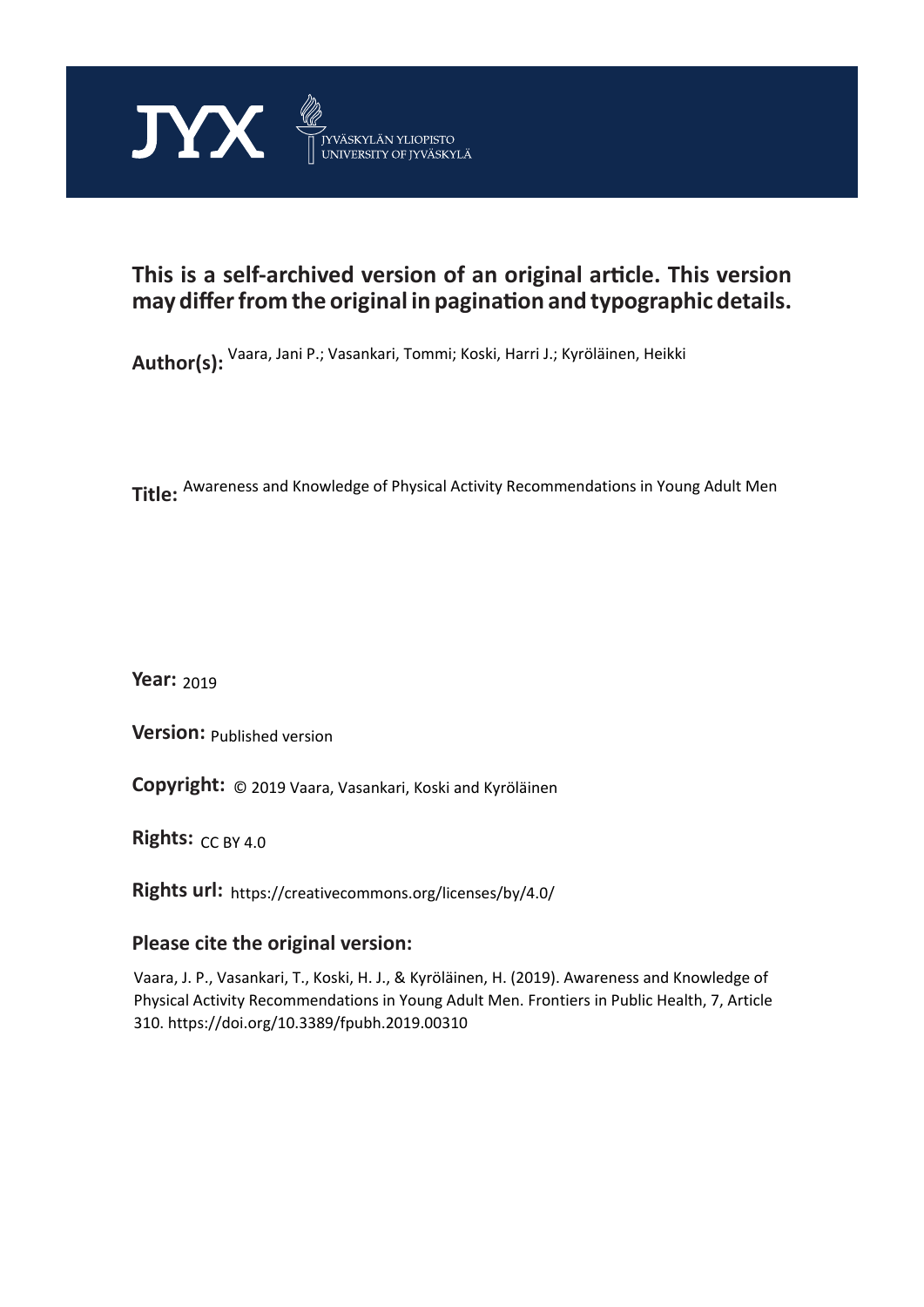

# **This is a self-archived version of an original article. This version may differ from the original in pagination and typographic details.**

**Author(s):**  Vaara, Jani P.; Vasankari, Tommi; Koski, Harri J.; Kyröläinen, Heikki

**Title:**  Awareness and Knowledge of Physical Activity Recommendations in Young Adult Men

**Year:**  2019

**Version:**

**Version:** Published version<br>**Copyright:** © 2019 Vaara, Vasankari, Koski and Kyröläinen

**Rights:** CC BY 4.0

**Rights url:**  https://creativecommons.org/licenses/by/4.0/

# **Please cite the original version:**

Vaara, J. P., Vasankari, T., Koski, H. J., & Kyröläinen, H. (2019). Awareness and Knowledge of Physical Activity Recommendations in Young Adult Men. Frontiers in Public Health, 7, Article 310. https://doi.org/10.3389/fpubh.2019.00310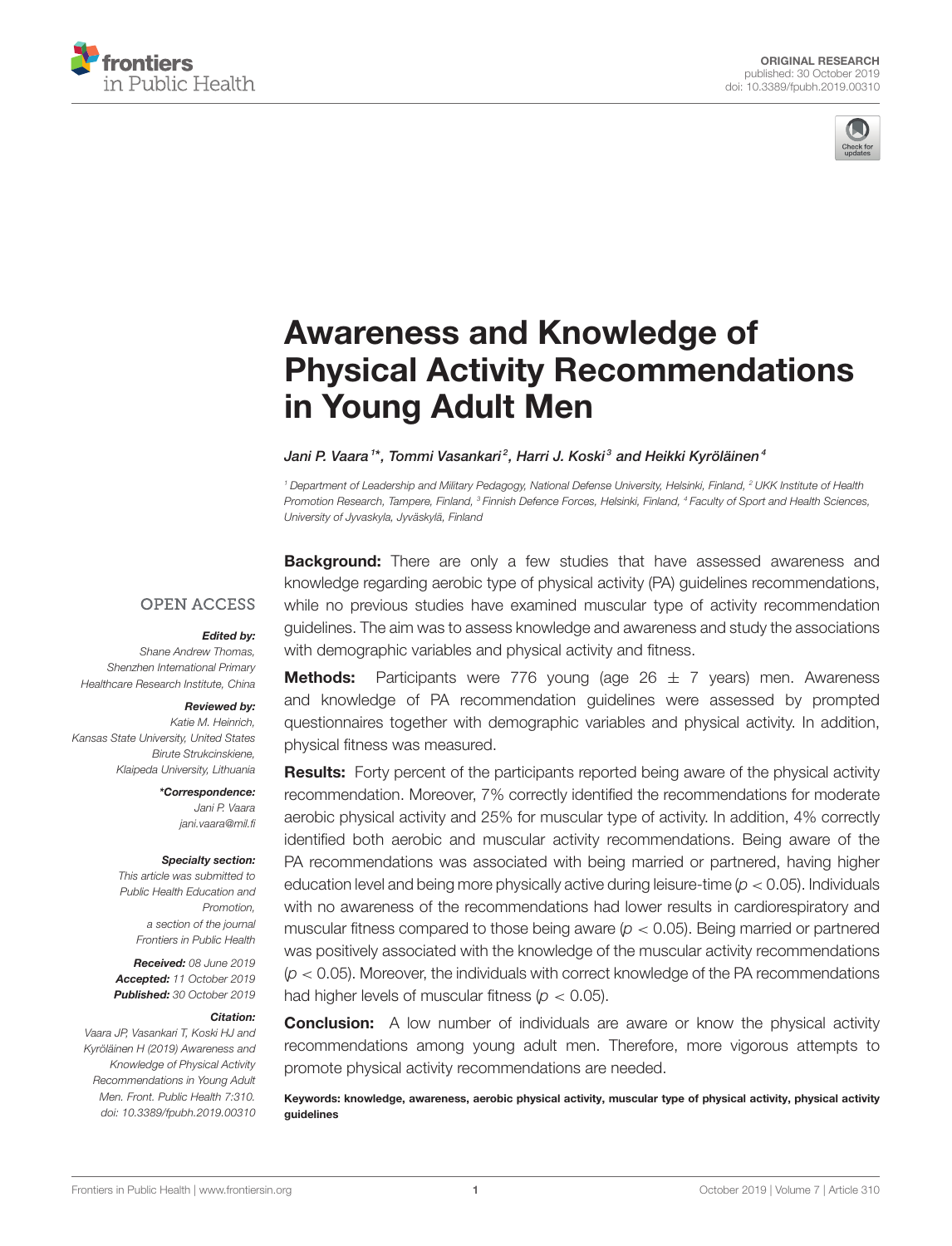



# Awareness and Knowledge of [Physical Activity Recommendations](https://www.frontiersin.org/articles/10.3389/fpubh.2019.00310/full) in Young Adult Men

#### [Jani P. Vaara](http://loop.frontiersin.org/people/480489/overview)1\*, [Tommi Vasankari](http://loop.frontiersin.org/people/826058/overview)<sup>2</sup>, [Harri J. Koski](http://loop.frontiersin.org/people/485904/overview)<sup>3</sup> and [Heikki Kyröläinen](http://loop.frontiersin.org/people/79649/overview)<sup>4</sup>

<sup>1</sup> Department of Leadership and Military Pedagogy, National Defense University, Helsinki, Finland, <sup>2</sup> UKK Institute of Health Promotion Research, Tampere, Finland, <sup>3</sup> Finnish Defence Forces, Helsinki, Finland, <sup>4</sup> Faculty of Sport and Health Sciences, University of Jyvaskyla, Jyväskylä, Finland

**OPEN ACCESS** 

#### Edited by:

Shane Andrew Thomas, Shenzhen International Primary Healthcare Research Institute, China

#### Reviewed by:

Katie M. Heinrich, Kansas State University, United States Birute Strukcinskiene, Klaipeda University, Lithuania

> \*Correspondence: Jani P. Vaara [jani.vaara@mil.fi](mailto:jani.vaara@mil.fi)

#### Specialty section:

This article was submitted to Public Health Education and Promotion, a section of the journal Frontiers in Public Health

Received: 08 June 2019 Accepted: 11 October 2019 Published: 30 October 2019

#### Citation:

Vaara JP, Vasankari T, Koski HJ and Kyröläinen H (2019) Awareness and Knowledge of Physical Activity Recommendations in Young Adult Men. Front. Public Health 7:310. doi: [10.3389/fpubh.2019.00310](https://doi.org/10.3389/fpubh.2019.00310)

**Background:** There are only a few studies that have assessed awareness and knowledge regarding aerobic type of physical activity (PA) guidelines recommendations, while no previous studies have examined muscular type of activity recommendation guidelines. The aim was to assess knowledge and awareness and study the associations with demographic variables and physical activity and fitness.

**Methods:** Participants were 776 young (age  $26 \pm 7$  years) men. Awareness and knowledge of PA recommendation guidelines were assessed by prompted questionnaires together with demographic variables and physical activity. In addition, physical fitness was measured.

Results: Forty percent of the participants reported being aware of the physical activity recommendation. Moreover, 7% correctly identified the recommendations for moderate aerobic physical activity and 25% for muscular type of activity. In addition, 4% correctly identified both aerobic and muscular activity recommendations. Being aware of the PA recommendations was associated with being married or partnered, having higher education level and being more physically active during leisure-time ( $p < 0.05$ ). Individuals with no awareness of the recommendations had lower results in cardiorespiratory and muscular fitness compared to those being aware ( $p < 0.05$ ). Being married or partnered was positively associated with the knowledge of the muscular activity recommendations  $(p < 0.05)$ . Moreover, the individuals with correct knowledge of the PA recommendations had higher levels of muscular fitness ( $p < 0.05$ ).

**Conclusion:** A low number of individuals are aware or know the physical activity recommendations among young adult men. Therefore, more vigorous attempts to promote physical activity recommendations are needed.

Keywords: knowledge, awareness, aerobic physical activity, muscular type of physical activity, physical activity guidelines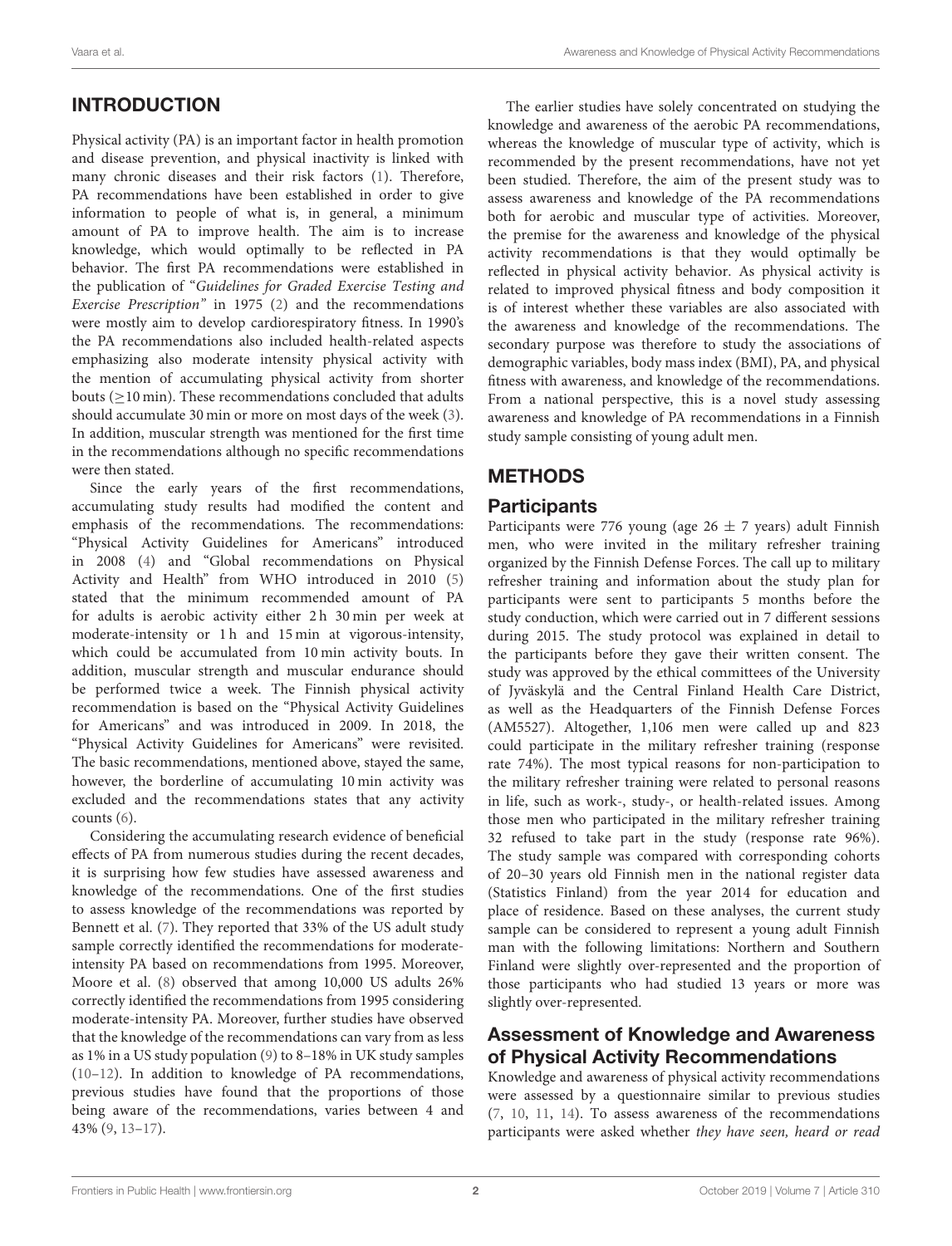# INTRODUCTION

Physical activity (PA) is an important factor in health promotion and disease prevention, and physical inactivity is linked with many chronic diseases and their risk factors [\(1\)](#page-8-0). Therefore, PA recommendations have been established in order to give information to people of what is, in general, a minimum amount of PA to improve health. The aim is to increase knowledge, which would optimally to be reflected in PA behavior. The first PA recommendations were established in the publication of "Guidelines for Graded Exercise Testing and Exercise Prescription" in 1975 [\(2\)](#page-8-1) and the recommendations were mostly aim to develop cardiorespiratory fitness. In 1990's the PA recommendations also included health-related aspects emphasizing also moderate intensity physical activity with the mention of accumulating physical activity from shorter bouts ( $\geq$ 10 min). These recommendations concluded that adults should accumulate 30 min or more on most days of the week [\(3\)](#page-8-2). In addition, muscular strength was mentioned for the first time in the recommendations although no specific recommendations were then stated.

Since the early years of the first recommendations, accumulating study results had modified the content and emphasis of the recommendations. The recommendations: "Physical Activity Guidelines for Americans" introduced in 2008 [\(4\)](#page-8-3) and "Global recommendations on Physical Activity and Health" from WHO introduced in 2010 [\(5\)](#page-9-0) stated that the minimum recommended amount of PA for adults is aerobic activity either 2 h 30 min per week at moderate-intensity or 1h and 15 min at vigorous-intensity, which could be accumulated from 10 min activity bouts. In addition, muscular strength and muscular endurance should be performed twice a week. The Finnish physical activity recommendation is based on the "Physical Activity Guidelines for Americans" and was introduced in 2009. In 2018, the "Physical Activity Guidelines for Americans" were revisited. The basic recommendations, mentioned above, stayed the same, however, the borderline of accumulating 10 min activity was excluded and the recommendations states that any activity counts [\(6\)](#page-9-1).

Considering the accumulating research evidence of beneficial effects of PA from numerous studies during the recent decades, it is surprising how few studies have assessed awareness and knowledge of the recommendations. One of the first studies to assess knowledge of the recommendations was reported by Bennett et al. [\(7\)](#page-9-2). They reported that 33% of the US adult study sample correctly identified the recommendations for moderateintensity PA based on recommendations from 1995. Moreover, Moore et al. [\(8\)](#page-9-3) observed that among 10,000 US adults 26% correctly identified the recommendations from 1995 considering moderate-intensity PA. Moreover, further studies have observed that the knowledge of the recommendations can vary from as less as 1% in a US study population [\(9\)](#page-9-4) to 8–18% in UK study samples [\(10](#page-9-5)[–12\)](#page-9-6). In addition to knowledge of PA recommendations, previous studies have found that the proportions of those being aware of the recommendations, varies between 4 and 43% [\(9,](#page-9-4) [13](#page-9-7)[–17\)](#page-9-8).

The earlier studies have solely concentrated on studying the knowledge and awareness of the aerobic PA recommendations, whereas the knowledge of muscular type of activity, which is recommended by the present recommendations, have not yet been studied. Therefore, the aim of the present study was to assess awareness and knowledge of the PA recommendations both for aerobic and muscular type of activities. Moreover, the premise for the awareness and knowledge of the physical activity recommendations is that they would optimally be reflected in physical activity behavior. As physical activity is related to improved physical fitness and body composition it is of interest whether these variables are also associated with the awareness and knowledge of the recommendations. The secondary purpose was therefore to study the associations of demographic variables, body mass index (BMI), PA, and physical fitness with awareness, and knowledge of the recommendations. From a national perspective, this is a novel study assessing awareness and knowledge of PA recommendations in a Finnish study sample consisting of young adult men.

# **METHODS**

# **Participants**

Participants were 776 young (age  $26 \pm 7$  years) adult Finnish men, who were invited in the military refresher training organized by the Finnish Defense Forces. The call up to military refresher training and information about the study plan for participants were sent to participants 5 months before the study conduction, which were carried out in 7 different sessions during 2015. The study protocol was explained in detail to the participants before they gave their written consent. The study was approved by the ethical committees of the University of Jyväskylä and the Central Finland Health Care District, as well as the Headquarters of the Finnish Defense Forces (AM5527). Altogether, 1,106 men were called up and 823 could participate in the military refresher training (response rate 74%). The most typical reasons for non-participation to the military refresher training were related to personal reasons in life, such as work-, study-, or health-related issues. Among those men who participated in the military refresher training 32 refused to take part in the study (response rate 96%). The study sample was compared with corresponding cohorts of 20–30 years old Finnish men in the national register data (Statistics Finland) from the year 2014 for education and place of residence. Based on these analyses, the current study sample can be considered to represent a young adult Finnish man with the following limitations: Northern and Southern Finland were slightly over-represented and the proportion of those participants who had studied 13 years or more was slightly over-represented.

# Assessment of Knowledge and Awareness of Physical Activity Recommendations

Knowledge and awareness of physical activity recommendations were assessed by a questionnaire similar to previous studies [\(7,](#page-9-2) [10,](#page-9-5) [11,](#page-9-9) [14\)](#page-9-10). To assess awareness of the recommendations participants were asked whether they have seen, heard or read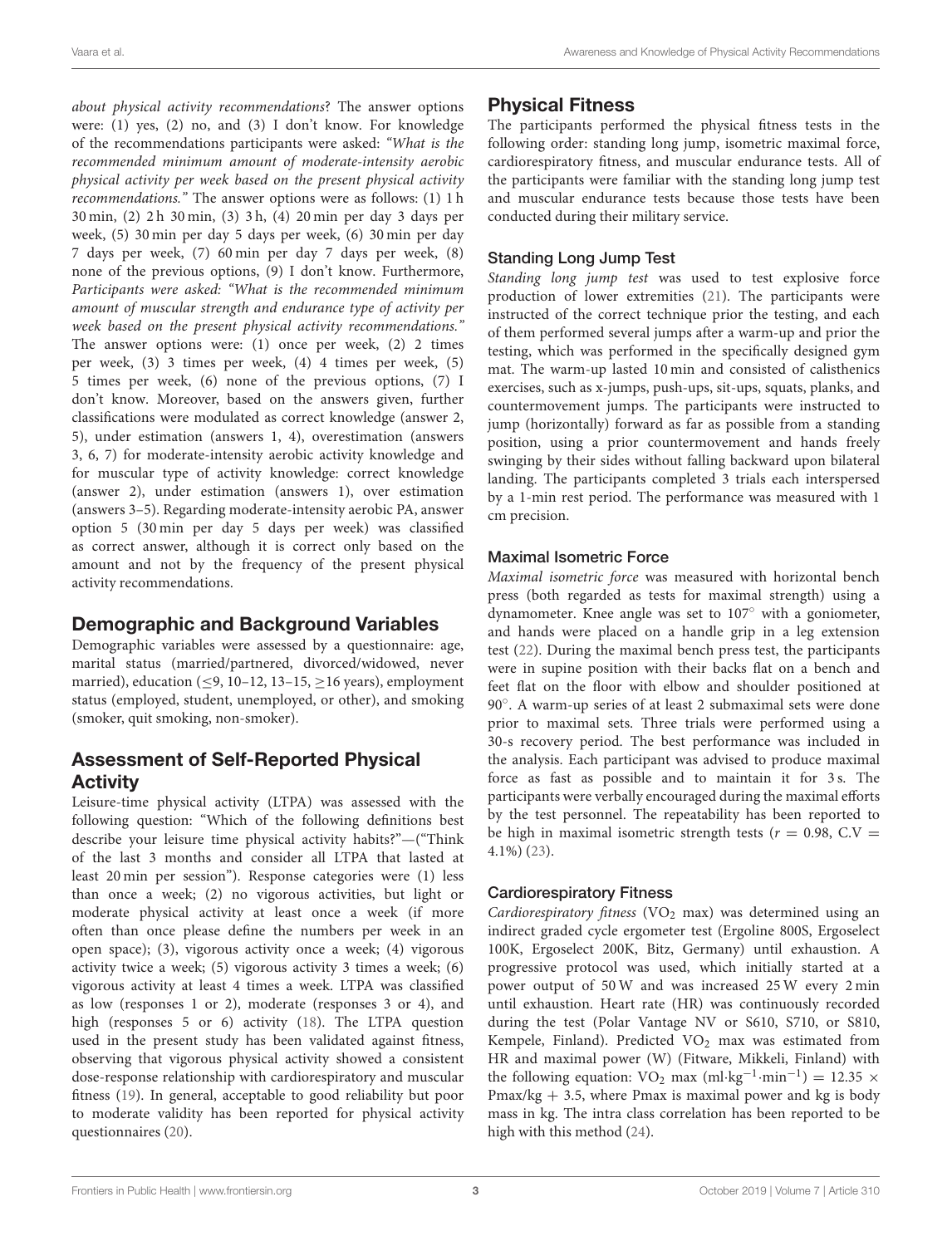about physical activity recommendations? The answer options were: (1) yes, (2) no, and (3) I don't know. For knowledge of the recommendations participants were asked: "What is the recommended minimum amount of moderate-intensity aerobic physical activity per week based on the present physical activity recommendations." The answer options were as follows: (1) 1 h 30 min, (2) 2 h 30 min, (3) 3 h, (4) 20 min per day 3 days per week, (5) 30 min per day 5 days per week, (6) 30 min per day 7 days per week, (7) 60 min per day 7 days per week, (8) none of the previous options, (9) I don't know. Furthermore, Participants were asked: "What is the recommended minimum amount of muscular strength and endurance type of activity per week based on the present physical activity recommendations." The answer options were: (1) once per week, (2) 2 times per week, (3) 3 times per week, (4) 4 times per week, (5) 5 times per week, (6) none of the previous options, (7) I don't know. Moreover, based on the answers given, further classifications were modulated as correct knowledge (answer 2, 5), under estimation (answers 1, 4), overestimation (answers 3, 6, 7) for moderate-intensity aerobic activity knowledge and for muscular type of activity knowledge: correct knowledge (answer 2), under estimation (answers 1), over estimation (answers 3–5). Regarding moderate-intensity aerobic PA, answer option 5 (30 min per day 5 days per week) was classified as correct answer, although it is correct only based on the amount and not by the frequency of the present physical activity recommendations.

# Demographic and Background Variables

Demographic variables were assessed by a questionnaire: age, marital status (married/partnered, divorced/widowed, never married), education ( $\leq$ 9, 10–12, 13–15,  $\geq$ 16 years), employment status (employed, student, unemployed, or other), and smoking (smoker, quit smoking, non-smoker).

# Assessment of Self-Reported Physical Activity

Leisure-time physical activity (LTPA) was assessed with the following question: "Which of the following definitions best describe your leisure time physical activity habits?"—("Think of the last 3 months and consider all LTPA that lasted at least 20 min per session"). Response categories were (1) less than once a week; (2) no vigorous activities, but light or moderate physical activity at least once a week (if more often than once please define the numbers per week in an open space); (3), vigorous activity once a week; (4) vigorous activity twice a week; (5) vigorous activity 3 times a week; (6) vigorous activity at least 4 times a week. LTPA was classified as low (responses 1 or 2), moderate (responses 3 or 4), and high (responses 5 or 6) activity [\(18\)](#page-9-11). The LTPA question used in the present study has been validated against fitness, observing that vigorous physical activity showed a consistent dose-response relationship with cardiorespiratory and muscular fitness [\(19\)](#page-9-12). In general, acceptable to good reliability but poor to moderate validity has been reported for physical activity questionnaires [\(20\)](#page-9-13).

# Physical Fitness

The participants performed the physical fitness tests in the following order: standing long jump, isometric maximal force, cardiorespiratory fitness, and muscular endurance tests. All of the participants were familiar with the standing long jump test and muscular endurance tests because those tests have been conducted during their military service.

### Standing Long Jump Test

Standing long jump test was used to test explosive force production of lower extremities [\(21\)](#page-9-14). The participants were instructed of the correct technique prior the testing, and each of them performed several jumps after a warm-up and prior the testing, which was performed in the specifically designed gym mat. The warm-up lasted 10 min and consisted of calisthenics exercises, such as x-jumps, push-ups, sit-ups, squats, planks, and countermovement jumps. The participants were instructed to jump (horizontally) forward as far as possible from a standing position, using a prior countermovement and hands freely swinging by their sides without falling backward upon bilateral landing. The participants completed 3 trials each interspersed by a 1-min rest period. The performance was measured with 1 cm precision.

#### Maximal Isometric Force

Maximal isometric force was measured with horizontal bench press (both regarded as tests for maximal strength) using a dynamometer. Knee angle was set to 107◦ with a goniometer, and hands were placed on a handle grip in a leg extension test [\(22\)](#page-9-15). During the maximal bench press test, the participants were in supine position with their backs flat on a bench and feet flat on the floor with elbow and shoulder positioned at 90◦ . A warm-up series of at least 2 submaximal sets were done prior to maximal sets. Three trials were performed using a 30-s recovery period. The best performance was included in the analysis. Each participant was advised to produce maximal force as fast as possible and to maintain it for 3 s. The participants were verbally encouraged during the maximal efforts by the test personnel. The repeatability has been reported to be high in maximal isometric strength tests ( $r = 0.98$ , C.V = 4.1%) [\(23\)](#page-9-16).

#### Cardiorespiratory Fitness

Cardiorespiratory fitness (VO<sub>2</sub> max) was determined using an indirect graded cycle ergometer test (Ergoline 800S, Ergoselect 100K, Ergoselect 200K, Bitz, Germany) until exhaustion. A progressive protocol was used, which initially started at a power output of 50 W and was increased 25 W every 2 min until exhaustion. Heart rate (HR) was continuously recorded during the test (Polar Vantage NV or S610, S710, or S810, Kempele, Finland). Predicted VO<sub>2</sub> max was estimated from HR and maximal power (W) (Fitware, Mikkeli, Finland) with the following equation: VO<sub>2</sub> max (ml·kg<sup>-1</sup>·min<sup>-1</sup>) = 12.35 × Pmax/kg  $+ 3.5$ , where Pmax is maximal power and kg is body mass in kg. The intra class correlation has been reported to be high with this method [\(24\)](#page-9-17).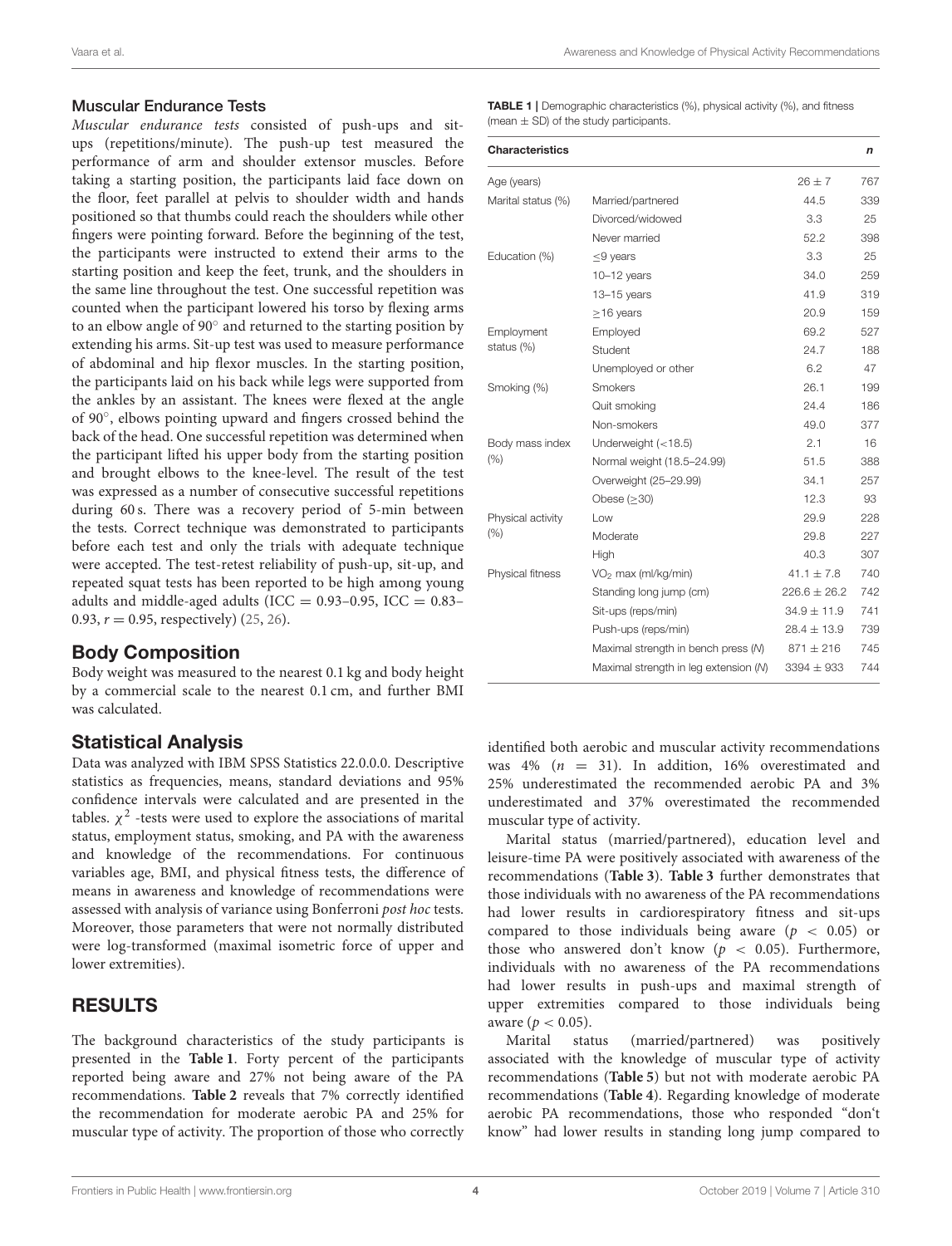#### Muscular Endurance Tests

Muscular endurance tests consisted of push-ups and situps (repetitions/minute). The push-up test measured the performance of arm and shoulder extensor muscles. Before taking a starting position, the participants laid face down on the floor, feet parallel at pelvis to shoulder width and hands positioned so that thumbs could reach the shoulders while other fingers were pointing forward. Before the beginning of the test, the participants were instructed to extend their arms to the starting position and keep the feet, trunk, and the shoulders in the same line throughout the test. One successful repetition was counted when the participant lowered his torso by flexing arms to an elbow angle of 90° and returned to the starting position by extending his arms. Sit-up test was used to measure performance of abdominal and hip flexor muscles. In the starting position, the participants laid on his back while legs were supported from the ankles by an assistant. The knees were flexed at the angle of 90◦ , elbows pointing upward and fingers crossed behind the back of the head. One successful repetition was determined when the participant lifted his upper body from the starting position and brought elbows to the knee-level. The result of the test was expressed as a number of consecutive successful repetitions during 60 s. There was a recovery period of 5-min between the tests. Correct technique was demonstrated to participants before each test and only the trials with adequate technique were accepted. The test-retest reliability of push-up, sit-up, and repeated squat tests has been reported to be high among young adults and middle-aged adults (ICC =  $0.93-0.95$ , ICC =  $0.83-$ 0.93,  $r = 0.95$ , respectively) [\(25,](#page-9-18) [26\)](#page-9-19).

# Body Composition

Body weight was measured to the nearest 0.1 kg and body height by a commercial scale to the nearest 0.1 cm, and further BMI was calculated.

# Statistical Analysis

Data was analyzed with IBM SPSS Statistics 22.0.0.0. Descriptive statistics as frequencies, means, standard deviations and 95% confidence intervals were calculated and are presented in the tables.  $\chi^2$  -tests were used to explore the associations of marital status, employment status, smoking, and PA with the awareness and knowledge of the recommendations. For continuous variables age, BMI, and physical fitness tests, the difference of means in awareness and knowledge of recommendations were assessed with analysis of variance using Bonferroni post hoc tests. Moreover, those parameters that were not normally distributed were log-transformed (maximal isometric force of upper and lower extremities).

# RESULTS

The background characteristics of the study participants is presented in the **[Table 1](#page-4-0)**. Forty percent of the participants reported being aware and 27% not being aware of the PA recommendations. **[Table 2](#page-5-0)** reveals that 7% correctly identified the recommendation for moderate aerobic PA and 25% for muscular type of activity. The proportion of those who correctly <span id="page-4-0"></span>TABLE 1 | Demographic characteristics (%), physical activity (%), and fitness (mean  $\pm$  SD) of the study participants.

| <b>Characteristics</b> |                                       |                  | n   |
|------------------------|---------------------------------------|------------------|-----|
| Age (years)            |                                       | $26 + 7$         | 767 |
| Marital status (%)     | Married/partnered                     | 44.5             | 339 |
|                        | Divorced/widowed                      | 3.3              | 25  |
|                        | Never married                         | 52.2             | 398 |
| Education (%)          | $\leq$ 9 years                        | 3.3              | 25  |
|                        | $10-12$ years                         | 34.0             | 259 |
|                        | $13 - 15$ years                       | 41.9             | 319 |
|                        | $\geq$ 16 years                       | 20.9             | 159 |
| Employment             | Employed                              | 69.2             | 527 |
| status (%)             | Student                               | 24.7             | 188 |
|                        | Unemployed or other                   | 6.2              | 47  |
| Smoking (%)            | <b>Smokers</b>                        | 26.1             | 199 |
|                        | Quit smoking                          | 24.4             | 186 |
|                        | Non-smokers                           | 49.0             | 377 |
| Body mass index        | Underweight $(<18.5)$                 | 2.1              | 16  |
| (% )                   | Normal weight (18.5-24.99)            | 51.5             | 388 |
|                        | Overweight (25-29.99)                 | 34.1             | 257 |
|                        | Obese $(>30)$                         | 12.3             | 93  |
| Physical activity      | Low                                   | 29.9             | 228 |
| (% )                   | Moderate                              | 29.8             | 227 |
|                        | High                                  | 40.3             | 307 |
| Physical fitness       | VO <sub>2</sub> max (ml/kg/min)       | $41.1 \pm 7.8$   | 740 |
|                        | Standing long jump (cm)               | $226.6 \pm 26.2$ | 742 |
|                        | Sit-ups (reps/min)                    | $34.9 \pm 11.9$  | 741 |
|                        | Push-ups (reps/min)                   | $28.4 \pm 13.9$  | 739 |
|                        | Maximal strength in bench press (N)   | $871 \pm 216$    | 745 |
|                        | Maximal strength in leg extension (N) | $3394 \pm 933$   | 744 |
|                        |                                       |                  |     |

identified both aerobic and muscular activity recommendations was 4%  $(n = 31)$ . In addition, 16% overestimated and 25% underestimated the recommended aerobic PA and 3% underestimated and 37% overestimated the recommended muscular type of activity.

Marital status (married/partnered), education level and leisure-time PA were positively associated with awareness of the recommendations (**[Table 3](#page-5-1)**). **[Table 3](#page-5-1)** further demonstrates that those individuals with no awareness of the PA recommendations had lower results in cardiorespiratory fitness and sit-ups compared to those individuals being aware ( $p < 0.05$ ) or those who answered don't know ( $p < 0.05$ ). Furthermore, individuals with no awareness of the PA recommendations had lower results in push-ups and maximal strength of upper extremities compared to those individuals being aware ( $p < 0.05$ ).

Marital status (married/partnered) was positively associated with the knowledge of muscular type of activity recommendations (**[Table 5](#page-7-0)**) but not with moderate aerobic PA recommendations (**[Table 4](#page-6-0)**). Regarding knowledge of moderate aerobic PA recommendations, those who responded "don't know" had lower results in standing long jump compared to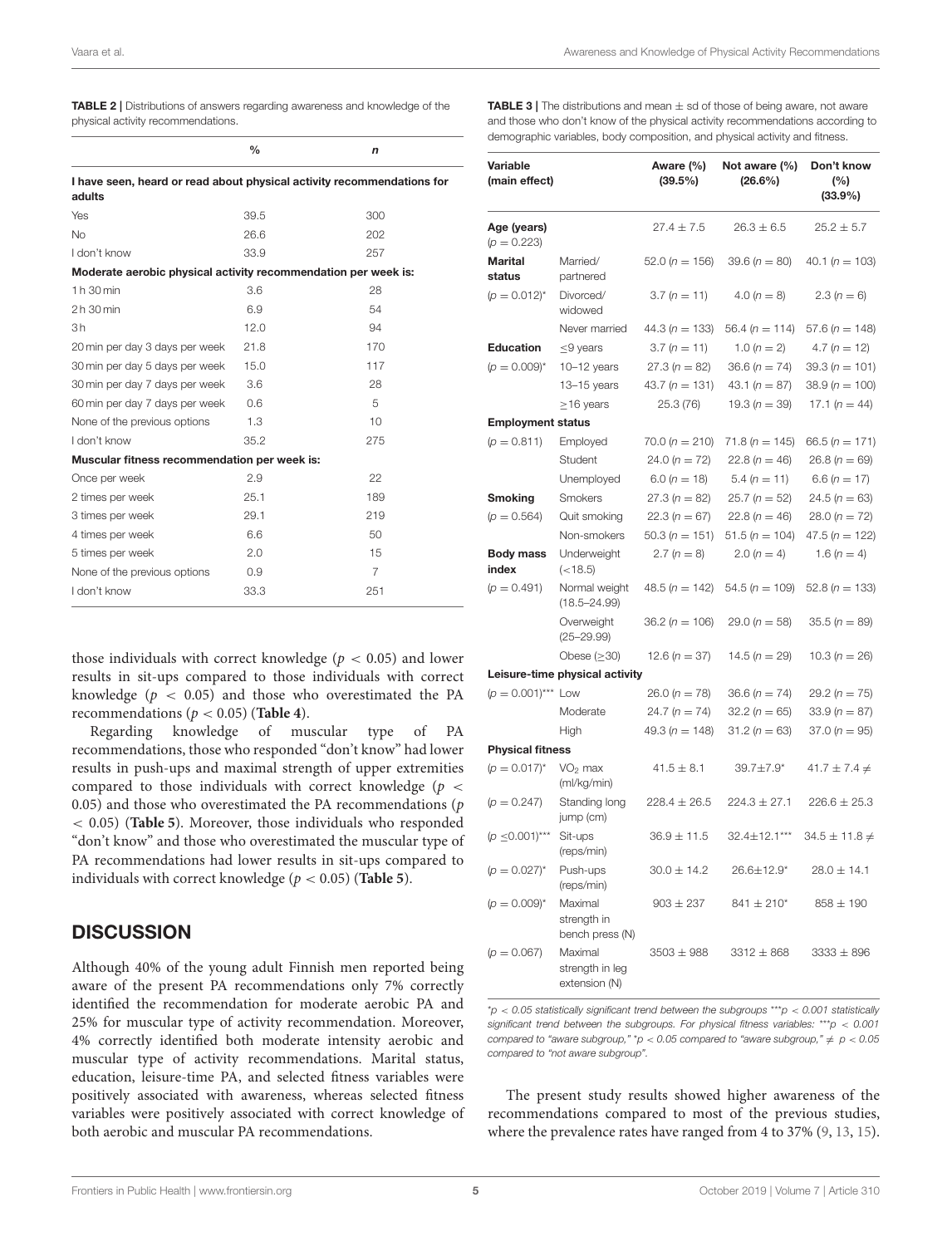<span id="page-5-0"></span>TABLE 2 | Distributions of answers regarding awareness and knowledge of the physical activity recommendations.

|                                                                | $\frac{0}{0}$ | n                                                                      |
|----------------------------------------------------------------|---------------|------------------------------------------------------------------------|
| adults                                                         |               | I have seen, heard or read about physical activity recommendations for |
| Yes                                                            | 39.5          | 300                                                                    |
| No                                                             | 26.6          | 202                                                                    |
| I don't know                                                   | 33.9          | 257                                                                    |
| Moderate aerobic physical activity recommendation per week is: |               |                                                                        |
| 1 h 30 min                                                     | 3.6           | 28                                                                     |
| 2 h 30 min                                                     | 6.9           | 54                                                                     |
| 3h                                                             | 12.0          | 94                                                                     |
| 20 min per day 3 days per week                                 | 21.8          | 170                                                                    |
| 30 min per day 5 days per week                                 | 15.0          | 117                                                                    |
| 30 min per day 7 days per week                                 | 3.6           | 28                                                                     |
| 60 min per day 7 days per week                                 | 0.6           | 5                                                                      |
| None of the previous options                                   | 1.3           | 10                                                                     |
| I don't know                                                   | 35.2          | 275                                                                    |
| Muscular fitness recommendation per week is:                   |               |                                                                        |
| Once per week                                                  | 2.9           | 22                                                                     |
| 2 times per week                                               | 25.1          | 189                                                                    |
| 3 times per week                                               | 29.1          | 219                                                                    |
| 4 times per week                                               | 6.6           | 50                                                                     |
| 5 times per week                                               | 2.0           | 15                                                                     |
| None of the previous options                                   | 0.9           | 7                                                                      |
| I don't know                                                   | 33.3          | 251                                                                    |

those individuals with correct knowledge ( $p < 0.05$ ) and lower results in sit-ups compared to those individuals with correct knowledge ( $p < 0.05$ ) and those who overestimated the PA recommendations ( $p < 0.05$ ) (**[Table 4](#page-6-0)**).

Regarding knowledge of muscular type of PA recommendations, those who responded "don't know" had lower results in push-ups and maximal strength of upper extremities compared to those individuals with correct knowledge ( $p <$ 0.05) and those who overestimated the PA recommendations  $(p)$ < 0.05) (**[Table 5](#page-7-0)**). Moreover, those individuals who responded "don't know" and those who overestimated the muscular type of PA recommendations had lower results in sit-ups compared to individuals with correct knowledge (p < 0.05) (**[Table 5](#page-7-0)**).

#### **DISCUSSION**

Although 40% of the young adult Finnish men reported being aware of the present PA recommendations only 7% correctly identified the recommendation for moderate aerobic PA and 25% for muscular type of activity recommendation. Moreover, 4% correctly identified both moderate intensity aerobic and muscular type of activity recommendations. Marital status, education, leisure-time PA, and selected fitness variables were positively associated with awareness, whereas selected fitness variables were positively associated with correct knowledge of both aerobic and muscular PA recommendations.

<span id="page-5-1"></span>**TABLE 3** | The distributions and mean  $\pm$  sd of those of being aware, not aware and those who don't know of the physical activity recommendations according to demographic variables, body composition, and physical activity and fitness.

| Variable<br>(main effect)    |                                             | Aware (%)<br>(39.5%) | Not aware (%)<br>$(26.6\%)$ | Don't know<br>(%)<br>$(33.9\%)$ |  |  |
|------------------------------|---------------------------------------------|----------------------|-----------------------------|---------------------------------|--|--|
| Age (years)<br>$(p = 0.223)$ |                                             | $27.4 \pm 7.5$       | $26.3 \pm 6.5$              | $25.2 \pm 5.7$                  |  |  |
| <b>Marital</b><br>status     | Married/<br>partnered                       | $52.0(n = 156)$      | 39.6 ( $n = 80$ )           | 40.1 ( $n = 103$ )              |  |  |
| $(p = 0.012)^{*}$            | Divorced/<br>widowed                        | $3.7 (n = 11)$       | 4.0 $(n = 8)$               | $2.3(n = 6)$                    |  |  |
|                              | Never married                               | $44.3 (n = 133)$     | 56.4 ( $n = 114$ )          | 57.6 ( $n = 148$ )              |  |  |
| <b>Education</b>             | $\leq$ 9 years                              | $3.7 (n = 11)$       | 1.0 $(n = 2)$               | $4.7 (n = 12)$                  |  |  |
| $(p = 0.009)^{*}$            | $10-12$ years                               | $27.3(n = 82)$       | 36.6 ( $n = 74$ )           | $39.3 (n = 101)$                |  |  |
|                              | 13-15 years                                 | 43.7 ( $n = 131$ )   | 43.1 $(n = 87)$             | $38.9 (n = 100)$                |  |  |
|                              | $\geq$ 16 years                             | 25.3 (76)            | 19.3 ( $n = 39$ )           | 17.1 $(n = 44)$                 |  |  |
| <b>Employment status</b>     |                                             |                      |                             |                                 |  |  |
| $(p = 0.811)$                | Employed                                    | $70.0 (n = 210)$     | $71.8 (n = 145)$            | 66.5 ( $n = 171$ )              |  |  |
|                              | Student                                     | 24.0 $(n = 72)$      | 22.8 ( $n = 46$ )           | $26.8 (n = 69)$                 |  |  |
|                              | Unemployed                                  | $6.0 (n = 18)$       | $5.4 (n = 11)$              | 6.6 ( $n = 17$ )                |  |  |
| <b>Smoking</b>               | Smokers                                     | $27.3(n = 82)$       | $25.7(n = 52)$              | $24.5 (n = 63)$                 |  |  |
| $(p = 0.564)$                | Quit smoking                                | $22.3(n = 67)$       | $22.8(n = 46)$              | $28.0 (n = 72)$                 |  |  |
|                              | Non-smokers                                 | $50.3 (n = 151)$     | $51.5 (n = 104)$            | $47.5 (n = 122)$                |  |  |
| <b>Body mass</b><br>index    | Underweight<br>(<18.5)                      | $2.7(n = 8)$         | $2.0(n = 4)$                | 1.6 ( $n = 4$ )                 |  |  |
| $(D = 0.491)$                | Normal weight<br>$(18.5 - 24.99)$           | $48.5 (n = 142)$     | $54.5 (n = 109)$            | 52.8 ( $n = 133$ )              |  |  |
|                              | Overweight<br>$(25 - 29.99)$                | $36.2 (n = 106)$     | $29.0(n = 58)$              | $35.5(n = 89)$                  |  |  |
|                              | Obese $(\geq 30)$                           | 12.6 ( $n = 37$ )    | 14.5 ( $n = 29$ )           | 10.3 ( $n = 26$ )               |  |  |
|                              | Leisure-time physical activity              |                      |                             |                                 |  |  |
| $(p = 0.001)$ *** Low        |                                             | $26.0 (n = 78)$      | 36.6 ( $n = 74$ )           | $29.2(n = 75)$                  |  |  |
|                              | Moderate                                    | 24.7 ( $n = 74$ )    | $32.2(n = 65)$              | $33.9 (n = 87)$                 |  |  |
|                              | High                                        | 49.3 ( $n = 148$ )   | $31.2 (n = 63)$             | $37.0 (n = 95)$                 |  |  |
| <b>Physical fitness</b>      |                                             |                      |                             |                                 |  |  |
| $(p = 0.017)^{*}$            | $VO2$ max<br>(ml/kg/min)                    | $41.5 \pm 8.1$       | 39.7±7.9*                   | $41.7 \pm 7.4 \neq$             |  |  |
| $(p = 0.247)$                | Standing long<br>jump (cm)                  | $228.4 \pm 26.5$     | $224.3 \pm 27.1$            | $226.6 \pm 25.3$                |  |  |
| $(p \le 0.001)$ ***          | Sit-ups<br>(reps/min)                       | $36.9 \pm 11.5$      | 32.4±12.1***                | $34.5 \pm 11.8 \neq$            |  |  |
| $(p = 0.027)^{*}$            | Push-ups<br>(reps/min)                      | $30.0 \pm 14.2$      | 26.6±12.9*                  | $28.0 \pm 14.1$                 |  |  |
| $(p = 0.009)^{*}$            | Maximal<br>strength in<br>bench press (N)   | $903 \pm 237$        | $841 \pm 210^*$             | $858 \pm 190$                   |  |  |
| $(p = 0.067)$                | Maximal<br>strength in leg<br>extension (N) | $3503 \pm 988$       | $3312 \pm 868$              | $3333 \pm 896$                  |  |  |

 $p < 0.05$  statistically significant trend between the subgroups \*\*\*  $p < 0.001$  statistically significant trend between the subgroups. For physical fitness variables: \*\*\*  $p < 0.001$ compared to "aware subgroup," \*p < 0.05 compared to "aware subgroup,"  $\neq$  p < 0.05 compared to "not aware subgroup".

The present study results showed higher awareness of the recommendations compared to most of the previous studies, where the prevalence rates have ranged from 4 to 37% [\(9,](#page-9-4) [13,](#page-9-7) [15\)](#page-9-20).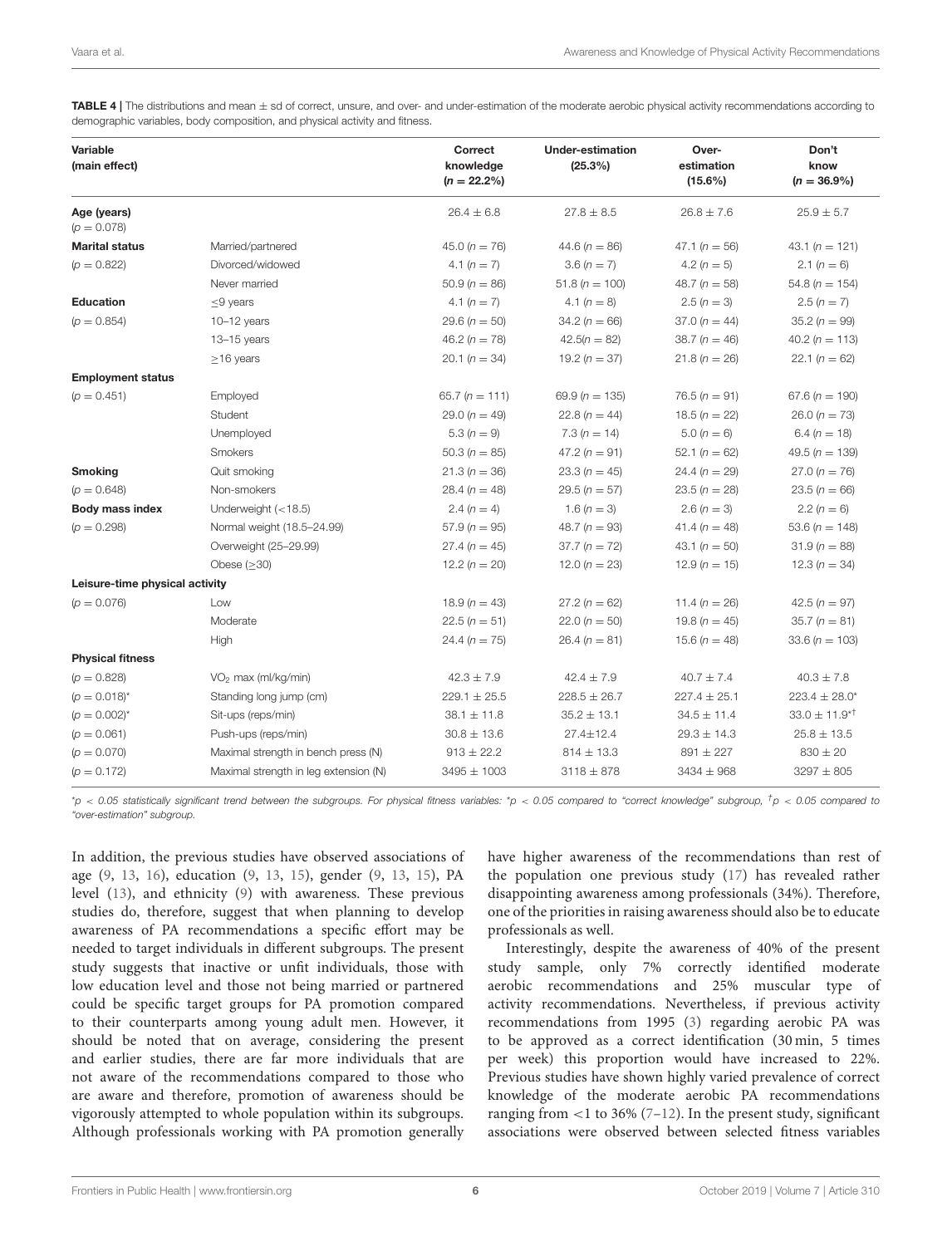<span id="page-6-0"></span>TABLE 4 | The distributions and mean  $\pm$  sd of correct, unsure, and over- and under-estimation of the moderate aerobic physical activity recommendations according to demographic variables, body composition, and physical activity and fitness.

| Variable<br>(main effect)      |                                       | Correct<br>knowledge<br>$(n = 22.2\%)$ | <b>Under-estimation</b><br>(25.3%) | Over-<br>estimation<br>$(15.6\%)$ | Don't<br>know<br>$(n = 36.9\%)$ |
|--------------------------------|---------------------------------------|----------------------------------------|------------------------------------|-----------------------------------|---------------------------------|
| Age (years)<br>$(p = 0.078)$   |                                       | $26.4 \pm 6.8$                         | $27.8 \pm 8.5$                     | $26.8 \pm 7.6$                    | $25.9 \pm 5.7$                  |
| <b>Marital status</b>          | Married/partnered                     | 45.0 ( $n = 76$ )                      | 44.6 ( $n = 86$ )                  | 47.1 ( $n = 56$ )                 | 43.1 $(n = 121)$                |
| $(p = 0.822)$                  | Divorced/widowed                      | 4.1 $(n = 7)$                          | $3.6 (n = 7)$                      | 4.2 $(n = 5)$                     | 2.1 $(n = 6)$                   |
|                                | Never married                         | $50.9(n = 86)$                         | $51.8 (n = 100)$                   | 48.7 ( $n = 58$ )                 | $54.8(n = 154)$                 |
| <b>Education</b>               | $\leq$ 9 years                        | 4.1 $(n = 7)$                          | 4.1 $(n = 8)$                      | $2.5(n=3)$                        | $2.5(n=7)$                      |
| $(p = 0.854)$                  | $10-12$ years                         | $29.6 (n = 50)$                        | $34.2 (n = 66)$                    | $37.0 (n = 44)$                   | 35.2 $(n = 99)$                 |
|                                | $13 - 15$ years                       | 46.2 $(n = 78)$                        | $42.5(n = 82)$                     | $38.7 (n = 46)$                   | 40.2 $(n = 113)$                |
|                                | $\geq$ 16 years                       | 20.1 ( $n = 34$ )                      | 19.2 ( $n = 37$ )                  | $21.8 (n = 26)$                   | 22.1 $(n = 62)$                 |
| <b>Employment status</b>       |                                       |                                        |                                    |                                   |                                 |
| $(p = 0.451)$                  | Employed                              | 65.7 ( $n = 111$ )                     | 69.9 ( $n = 135$ )                 | $76.5 (n = 91)$                   | 67.6 ( $n = 190$ )              |
|                                | Student                               | 29.0 ( $n = 49$ )                      | 22.8 ( $n = 44$ )                  | 18.5 ( $n = 22$ )                 | $26.0 (n = 73)$                 |
|                                | Unemployed                            | $5.3(n=9)$                             | $7.3(n = 14)$                      | $5.0 (n = 6)$                     | 6.4 ( $n = 18$ )                |
|                                | <b>Smokers</b>                        | 50.3 ( $n = 85$ )                      | 47.2 ( $n = 91$ )                  | 52.1 ( $n = 62$ )                 | 49.5 ( $n = 139$ )              |
| <b>Smoking</b>                 | Quit smoking                          | $21.3(n = 36)$                         | $23.3(n = 45)$                     | $24.4 (n = 29)$                   | $27.0 (n = 76)$                 |
| $(p = 0.648)$                  | Non-smokers                           | 28.4 ( $n = 48$ )                      | $29.5(n = 57)$                     | $23.5 (n = 28)$                   | 23.5 ( $n = 66$ )               |
| Body mass index                | Underweight $(<18.5)$                 | 2.4 $(n = 4)$                          | 1.6 $(n = 3)$                      | $2.6 (n = 3)$                     | 2.2 $(n = 6)$                   |
| $(p = 0.298)$                  | Normal weight (18.5-24.99)            | $57.9 (n = 95)$                        | 48.7 $(n = 93)$                    | 41.4 $(n = 48)$                   | 53.6 ( $n = 148$ )              |
|                                | Overweight (25-29.99)                 | $27.4 (n = 45)$                        | $37.7 (n = 72)$                    | 43.1 ( $n = 50$ )                 | $31.9(n = 88)$                  |
|                                | Obese $(\geq 30)$                     | 12.2 $(n = 20)$                        | 12.0 $(n = 23)$                    | $12.9(n = 15)$                    | 12.3 ( $n = 34$ )               |
| Leisure-time physical activity |                                       |                                        |                                    |                                   |                                 |
| $(p = 0.076)$                  | Low                                   | 18.9 ( $n = 43$ )                      | $27.2(n = 62)$                     | 11.4 $(n = 26)$                   | 42.5 ( $n = 97$ )               |
|                                | Moderate                              | $22.5(n = 51)$                         | $22.0 (n = 50)$                    | 19.8 ( $n = 45$ )                 | $35.7 (n = 81)$                 |
|                                | High                                  | $24.4 (n = 75)$                        | $26.4 (n = 81)$                    | 15.6 ( $n = 48$ )                 | $33.6 (n = 103)$                |
| <b>Physical fitness</b>        |                                       |                                        |                                    |                                   |                                 |
| $(p = 0.828)$                  | $VO2$ max (ml/kg/min)                 | $42.3 \pm 7.9$                         | $42.4 \pm 7.9$                     | $40.7 \pm 7.4$                    | $40.3 \pm 7.8$                  |
| $(p = 0.018)^{*}$              | Standing long jump (cm)               | $229.1 \pm 25.5$                       | $228.5 \pm 26.7$                   | $227.4 \pm 25.1$                  | 223.4 $\pm$ 28.0*               |
| $(p = 0.002)^{*}$              | Sit-ups (reps/min)                    | $38.1 \pm 11.8$                        | $35.2 \pm 13.1$                    | $34.5 \pm 11.4$                   | $33.0 \pm 11.9*^{\dagger}$      |
| $(p = 0.061)$                  | Push-ups (reps/min)                   | $30.8 \pm 13.6$                        | 27.4±12.4                          | $29.3 \pm 14.3$                   | $25.8 \pm 13.5$                 |
| $(p = 0.070)$                  | Maximal strength in bench press (N)   | $913 \pm 22.2$                         | $814 \pm 13.3$                     | $891 \pm 227$                     | $830 \pm 20$                    |
| $(p = 0.172)$                  | Maximal strength in leg extension (N) | $3495 \pm 1003$                        | $3118 \pm 878$                     | $3434 \pm 968$                    | $3297 \pm 805$                  |

 $*_p$  < 0.05 statistically significant trend between the subgroups. For physical fitness variables:  $*_p$  < 0.05 compared to "correct knowledge" subgroup,  $*_p$  < 0.05 compared to "over-estimation" subgroup.

In addition, the previous studies have observed associations of age [\(9,](#page-9-4) [13,](#page-9-7) [16\)](#page-9-21), education [\(9,](#page-9-4) [13,](#page-9-7) [15\)](#page-9-20), gender [\(9,](#page-9-4) [13,](#page-9-7) [15\)](#page-9-20), PA level [\(13\)](#page-9-7), and ethnicity [\(9\)](#page-9-4) with awareness. These previous studies do, therefore, suggest that when planning to develop awareness of PA recommendations a specific effort may be needed to target individuals in different subgroups. The present study suggests that inactive or unfit individuals, those with low education level and those not being married or partnered could be specific target groups for PA promotion compared to their counterparts among young adult men. However, it should be noted that on average, considering the present and earlier studies, there are far more individuals that are not aware of the recommendations compared to those who are aware and therefore, promotion of awareness should be vigorously attempted to whole population within its subgroups. Although professionals working with PA promotion generally have higher awareness of the recommendations than rest of the population one previous study [\(17\)](#page-9-8) has revealed rather disappointing awareness among professionals (34%). Therefore, one of the priorities in raising awareness should also be to educate professionals as well.

Interestingly, despite the awareness of 40% of the present study sample, only 7% correctly identified moderate aerobic recommendations and 25% muscular type of activity recommendations. Nevertheless, if previous activity recommendations from 1995 [\(3\)](#page-8-2) regarding aerobic PA was to be approved as a correct identification (30 min, 5 times per week) this proportion would have increased to 22%. Previous studies have shown highly varied prevalence of correct knowledge of the moderate aerobic PA recommendations ranging from  $<$ 1 to 36% (7-[12\)](#page-9-6). In the present study, significant associations were observed between selected fitness variables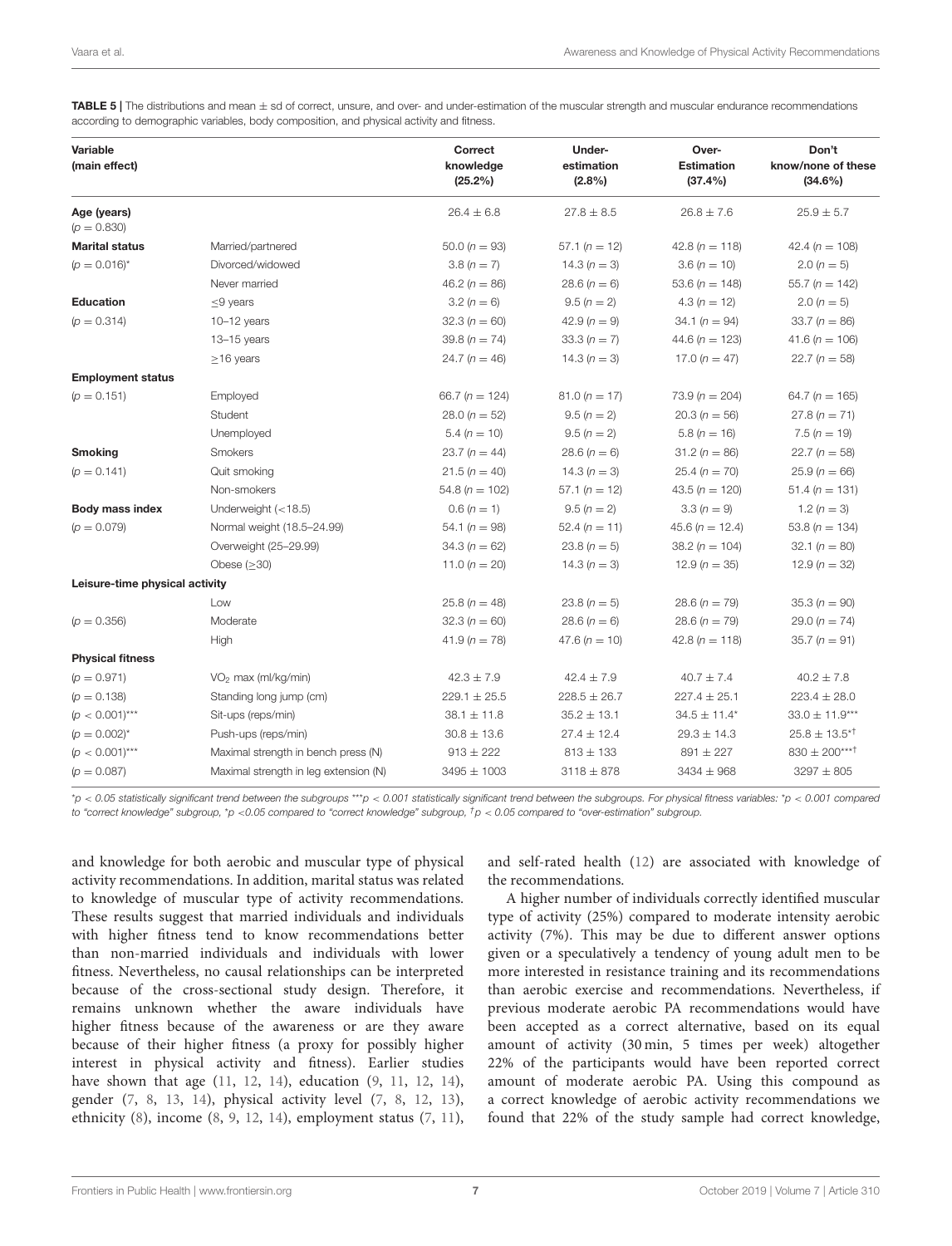<span id="page-7-0"></span>TABLE 5 | The distributions and mean  $\pm$  sd of correct, unsure, and over- and under-estimation of the muscular strength and muscular endurance recommendations according to demographic variables, body composition, and physical activity and fitness.

| Variable<br>(main effect)      |                                       | Correct<br>knowledge<br>(25.2%) | Under-<br>estimation<br>$(2.8\%)$ | Over-<br><b>Estimation</b><br>(37.4%) | Don't<br>know/none of these<br>$(34.6\%)$ |
|--------------------------------|---------------------------------------|---------------------------------|-----------------------------------|---------------------------------------|-------------------------------------------|
| Age (years)<br>$(p = 0.830)$   |                                       | $26.4 \pm 6.8$                  | $27.8 \pm 8.5$                    | $26.8 \pm 7.6$                        | $25.9 \pm 5.7$                            |
| <b>Marital status</b>          | Married/partnered                     | $50.0(n = 93)$                  | $57.1 (n = 12)$                   | 42.8 ( $n = 118$ )                    | 42.4 ( $n = 108$ )                        |
| $(p = 0.016)^{*}$              | Divorced/widowed                      | $3.8 (n = 7)$                   | 14.3 $(n = 3)$                    | $3.6 (n = 10)$                        | $2.0(n = 5)$                              |
|                                | Never married                         | 46.2 $(n = 86)$                 | $28.6 (n = 6)$                    | 53.6 ( $n = 148$ )                    | $55.7 (n = 142)$                          |
| Education                      | $\leq$ 9 years                        | $3.2 (n = 6)$                   | $9.5(n = 2)$                      | $4.3(n = 12)$                         | $2.0(n = 5)$                              |
| $(p = 0.314)$                  | $10 - 12$ years                       | 32.3 $(n = 60)$                 | 42.9 $(n = 9)$                    | 34.1 ( $n = 94$ )                     | $33.7 (n = 86)$                           |
|                                | $13 - 15$ years                       | 39.8 $(n = 74)$                 | $33.3(n = 7)$                     | 44.6 ( $n = 123$ )                    | 41.6 ( $n = 106$ )                        |
|                                | $\geq$ 16 years                       | 24.7 $(n = 46)$                 | 14.3 $(n = 3)$                    | 17.0 ( $n = 47$ )                     | $22.7(n = 58)$                            |
| <b>Employment status</b>       |                                       |                                 |                                   |                                       |                                           |
| $(p = 0.151)$                  | Employed                              | 66.7 ( $n = 124$ )              | $81.0 (n = 17)$                   | 73.9 ( $n = 204$ )                    | 64.7 ( $n = 165$ )                        |
|                                | Student                               | $28.0(n = 52)$                  | $9.5(n = 2)$                      | $20.3(n = 56)$                        | $27.8(n = 71)$                            |
|                                | Unemployed                            | $5.4 (n = 10)$                  | $9.5(n = 2)$                      | $5.8(n = 16)$                         | $7.5(n = 19)$                             |
| <b>Smoking</b>                 | Smokers                               | 23.7 ( $n = 44$ )               | $28.6 (n = 6)$                    | $31.2(n = 86)$                        | $22.7(n = 58)$                            |
| $(p = 0.141)$                  | Quit smoking                          | $21.5(n = 40)$                  | 14.3 $(n = 3)$                    | $25.4 (n = 70)$                       | $25.9(n = 66)$                            |
|                                | Non-smokers                           | $54.8 (n = 102)$                | $57.1 (n = 12)$                   | 43.5 ( $n = 120$ )                    | $51.4 (n = 131)$                          |
| Body mass index                | Underweight $(<18.5)$                 | $0.6 (n = 1)$                   | $9.5 (n = 2)$                     | $3.3 (n = 9)$                         | 1.2 $(n = 3)$                             |
| $(p = 0.079)$                  | Normal weight (18.5-24.99)            | 54.1 $(n = 98)$                 | $52.4 (n = 11)$                   | 45.6 ( $n = 12.4$ )                   | 53.8 ( $n = 134$ )                        |
|                                | Overweight (25-29.99)                 | $34.3(n = 62)$                  | $23.8(n = 5)$                     | $38.2 (n = 104)$                      | 32.1 $(n = 80)$                           |
|                                | Obese $(\geq 30)$                     | 11.0 ( $n = 20$ )               | 14.3 $(n = 3)$                    | 12.9 ( $n = 35$ )                     | 12.9 ( $n = 32$ )                         |
| Leisure-time physical activity |                                       |                                 |                                   |                                       |                                           |
|                                | Low                                   | $25.8(n = 48)$                  | 23.8 ( $n = 5$ )                  | $28.6 (n = 79)$                       | $35.3 (n = 90)$                           |
| $(p = 0.356)$                  | Moderate                              | $32.3(n = 60)$                  | $28.6 (n = 6)$                    | $28.6 (n = 79)$                       | 29.0 ( $n = 74$ )                         |
|                                | High                                  | $41.9(n = 78)$                  | 47.6 ( $n = 10$ )                 | 42.8 $(n = 118)$                      | $35.7 (n = 91)$                           |
| <b>Physical fitness</b>        |                                       |                                 |                                   |                                       |                                           |
| $(p = 0.971)$                  | $VO2$ max (ml/kg/min)                 | $42.3 \pm 7.9$                  | $42.4 \pm 7.9$                    | $40.7 \pm 7.4$                        | $40.2 \pm 7.8$                            |
| $(p = 0.138)$                  | Standing long jump (cm)               | $229.1 \pm 25.5$                | $228.5 \pm 26.7$                  | $227.4 \pm 25.1$                      | $223.4 \pm 28.0$                          |
| $(p < 0.001)$ ***              | Sit-ups (reps/min)                    | $38.1 \pm 11.8$                 | $35.2 \pm 13.1$                   | $34.5 \pm 11.4*$                      | $33.0 \pm 11.9***$                        |
| $(p = 0.002)^{*}$              | Push-ups (reps/min)                   | $30.8 \pm 13.6$                 | $27.4 \pm 12.4$                   | $29.3 \pm 14.3$                       | $25.8 \pm 13.5^{*}$                       |
| $(p < 0.001)$ ***              | Maximal strength in bench press (N)   | $913 \pm 222$                   | $813 \pm 133$                     | $891 \pm 227$                         | $830 \pm 200***$                          |
| $(p = 0.087)$                  | Maximal strength in leg extension (N) | $3495 \pm 1003$                 | $3118 \pm 878$                    | $3434 \pm 968$                        | $3297 \pm 805$                            |

\*p < 0.05 statistically significant trend between the subgroups \*\*\*p < 0.001 statistically significant trend between the subgroups. For physical fitness variables: \*p < 0.001 compared to "correct knowledge" subgroup, \*p <0.05 compared to "correct knowledge" subgroup,  $^{\dagger}$ p < 0.05 compared to "over-estimation" subgroup.

and knowledge for both aerobic and muscular type of physical activity recommendations. In addition, marital status was related to knowledge of muscular type of activity recommendations. These results suggest that married individuals and individuals with higher fitness tend to know recommendations better than non-married individuals and individuals with lower fitness. Nevertheless, no causal relationships can be interpreted because of the cross-sectional study design. Therefore, it remains unknown whether the aware individuals have higher fitness because of the awareness or are they aware because of their higher fitness (a proxy for possibly higher interest in physical activity and fitness). Earlier studies have shown that age [\(11,](#page-9-9) [12,](#page-9-6) [14\)](#page-9-10), education [\(9,](#page-9-4) [11,](#page-9-9) [12,](#page-9-6) [14\)](#page-9-10), gender [\(7,](#page-9-2) [8,](#page-9-3) [13,](#page-9-7) [14\)](#page-9-10), physical activity level [\(7,](#page-9-2) [8,](#page-9-3) [12,](#page-9-6) [13\)](#page-9-7), ethnicity [\(8\)](#page-9-3), income [\(8,](#page-9-3) [9,](#page-9-4) [12,](#page-9-6) [14\)](#page-9-10), employment status [\(7,](#page-9-2) [11\)](#page-9-9), and self-rated health [\(12\)](#page-9-6) are associated with knowledge of the recommendations.

A higher number of individuals correctly identified muscular type of activity (25%) compared to moderate intensity aerobic activity (7%). This may be due to different answer options given or a speculatively a tendency of young adult men to be more interested in resistance training and its recommendations than aerobic exercise and recommendations. Nevertheless, if previous moderate aerobic PA recommendations would have been accepted as a correct alternative, based on its equal amount of activity (30 min, 5 times per week) altogether 22% of the participants would have been reported correct amount of moderate aerobic PA. Using this compound as a correct knowledge of aerobic activity recommendations we found that 22% of the study sample had correct knowledge,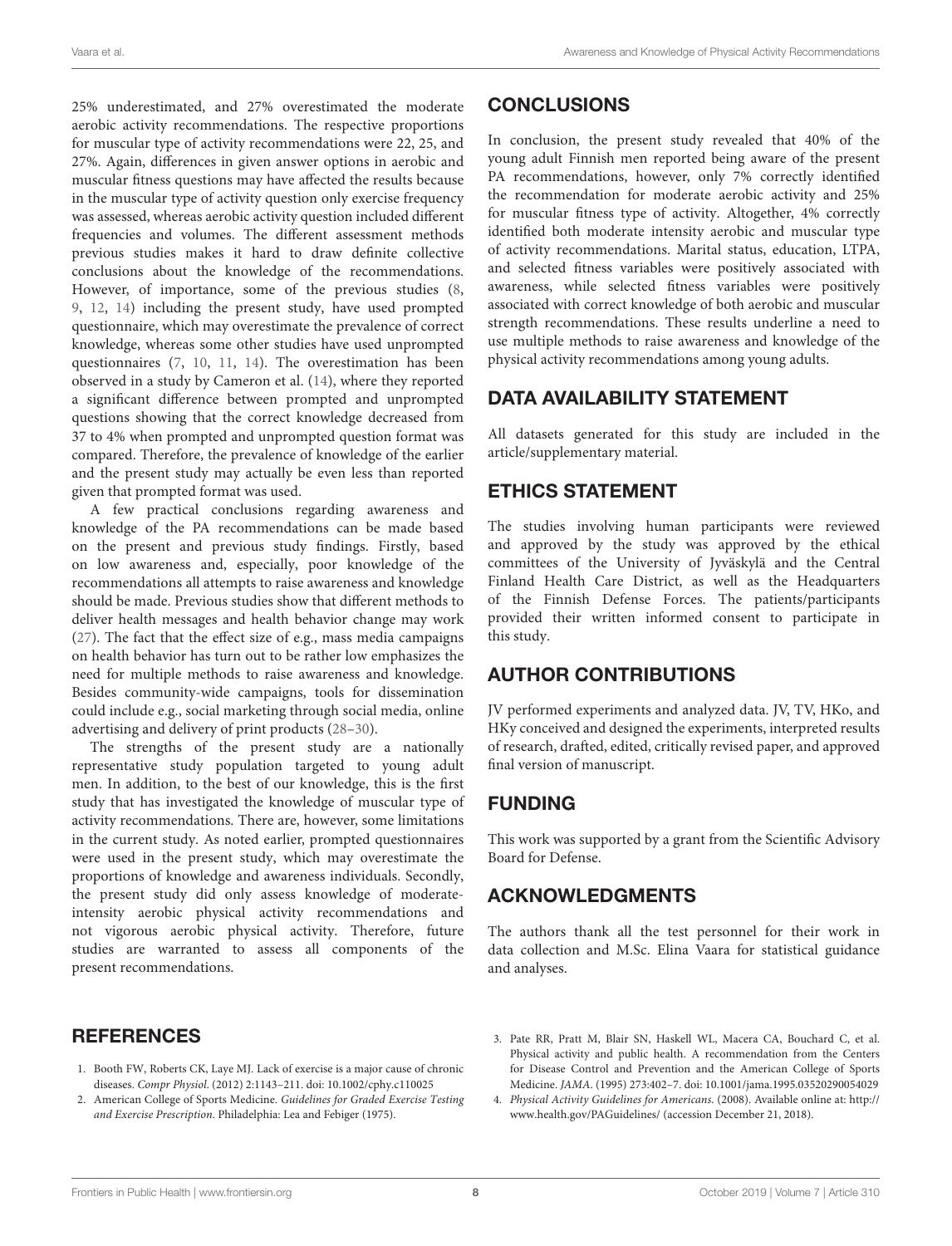25% underestimated, and 27% overestimated the moderate aerobic activity recommendations. The respective proportions for muscular type of activity recommendations were 22, 25, and 27%. Again, differences in given answer options in aerobic and muscular fitness questions may have affected the results because in the muscular type of activity question only exercise frequency was assessed, whereas aerobic activity question included different frequencies and volumes. The different assessment methods previous studies makes it hard to draw definite collective conclusions about the knowledge of the recommendations. However, of importance, some of the previous studies [\(8,](#page-9-3) [9,](#page-9-4) [12,](#page-9-6) [14\)](#page-9-10) including the present study, have used prompted questionnaire, which may overestimate the prevalence of correct knowledge, whereas some other studies have used unprompted questionnaires [\(7,](#page-9-2) [10,](#page-9-5) [11,](#page-9-9) [14\)](#page-9-10). The overestimation has been observed in a study by Cameron et al. [\(14\)](#page-9-10), where they reported a significant difference between prompted and unprompted questions showing that the correct knowledge decreased from 37 to 4% when prompted and unprompted question format was compared. Therefore, the prevalence of knowledge of the earlier and the present study may actually be even less than reported given that prompted format was used.

A few practical conclusions regarding awareness and knowledge of the PA recommendations can be made based on the present and previous study findings. Firstly, based on low awareness and, especially, poor knowledge of the recommendations all attempts to raise awareness and knowledge should be made. Previous studies show that different methods to deliver health messages and health behavior change may work [\(27\)](#page-9-22). The fact that the effect size of e.g., mass media campaigns on health behavior has turn out to be rather low emphasizes the need for multiple methods to raise awareness and knowledge. Besides community-wide campaigns, tools for dissemination could include e.g., social marketing through social media, online advertising and delivery of print products [\(28](#page-9-23)[–30\)](#page-9-24).

The strengths of the present study are a nationally representative study population targeted to young adult men. In addition, to the best of our knowledge, this is the first study that has investigated the knowledge of muscular type of activity recommendations. There are, however, some limitations in the current study. As noted earlier, prompted questionnaires were used in the present study, which may overestimate the proportions of knowledge and awareness individuals. Secondly, the present study did only assess knowledge of moderateintensity aerobic physical activity recommendations and not vigorous aerobic physical activity. Therefore, future studies are warranted to assess all components of the present recommendations.

# **REFERENCES**

- <span id="page-8-0"></span>1. Booth FW, Roberts CK, Laye MJ. Lack of exercise is a major cause of chronic diseases. Compr Physiol. (2012) 2:1143–211. doi: [10.1002/cphy.c110025](https://doi.org/10.1002/cphy.c110025)
- <span id="page-8-1"></span>2. American College of Sports Medicine. Guidelines for Graded Exercise Testing and Exercise Prescription. Philadelphia: Lea and Febiger (1975).

# **CONCLUSIONS**

In conclusion, the present study revealed that 40% of the young adult Finnish men reported being aware of the present PA recommendations, however, only 7% correctly identified the recommendation for moderate aerobic activity and 25% for muscular fitness type of activity. Altogether, 4% correctly identified both moderate intensity aerobic and muscular type of activity recommendations. Marital status, education, LTPA, and selected fitness variables were positively associated with awareness, while selected fitness variables were positively associated with correct knowledge of both aerobic and muscular strength recommendations. These results underline a need to use multiple methods to raise awareness and knowledge of the physical activity recommendations among young adults.

# DATA AVAILABILITY STATEMENT

All datasets generated for this study are included in the article/supplementary material.

# ETHICS STATEMENT

The studies involving human participants were reviewed and approved by the study was approved by the ethical committees of the University of Jyväskylä and the Central Finland Health Care District, as well as the Headquarters of the Finnish Defense Forces. The patients/participants provided their written informed consent to participate in this study.

# AUTHOR CONTRIBUTIONS

JV performed experiments and analyzed data. JV, TV, HKo, and HKy conceived and designed the experiments, interpreted results of research, drafted, edited, critically revised paper, and approved final version of manuscript.

# FUNDING

This work was supported by a grant from the Scientific Advisory Board for Defense.

# ACKNOWLEDGMENTS

The authors thank all the test personnel for their work in data collection and M.Sc. Elina Vaara for statistical guidance and analyses.

- <span id="page-8-2"></span>3. Pate RR, Pratt M, Blair SN, Haskell WL, Macera CA, Bouchard C, et al. Physical activity and public health. A recommendation from the Centers for Disease Control and Prevention and the American College of Sports Medicine. JAMA. (1995) 273:402–7. doi: [10.1001/jama.1995.03520290054029](https://doi.org/10.1001/jama.1995.03520290054029)
- <span id="page-8-3"></span>4. Physical Activity Guidelines for Americans. (2008). Available online at: [http://](http://www.health.gov/PAGuidelines/) [www.health.gov/PAGuidelines/](http://www.health.gov/PAGuidelines/) (accession December 21, 2018).